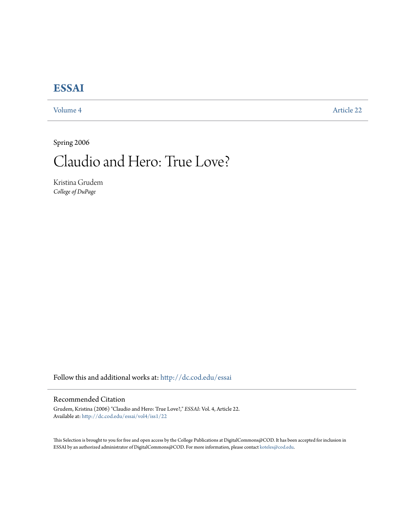## **[ESSAI](http://dc.cod.edu/essai?utm_source=dc.cod.edu%2Fessai%2Fvol4%2Fiss1%2F22&utm_medium=PDF&utm_campaign=PDFCoverPages)**

[Volume 4](http://dc.cod.edu/essai/vol4?utm_source=dc.cod.edu%2Fessai%2Fvol4%2Fiss1%2F22&utm_medium=PDF&utm_campaign=PDFCoverPages) [Article 22](http://dc.cod.edu/essai/vol4/iss1/22?utm_source=dc.cod.edu%2Fessai%2Fvol4%2Fiss1%2F22&utm_medium=PDF&utm_campaign=PDFCoverPages)

Spring 2006

# Claudio and Hero: True Love?

Kristina Grudem *College of DuPage*

Follow this and additional works at: [http://dc.cod.edu/essai](http://dc.cod.edu/essai?utm_source=dc.cod.edu%2Fessai%2Fvol4%2Fiss1%2F22&utm_medium=PDF&utm_campaign=PDFCoverPages)

### Recommended Citation

Grudem, Kristina (2006) "Claudio and Hero: True Love?," *ESSAI*: Vol. 4, Article 22. Available at: [http://dc.cod.edu/essai/vol4/iss1/22](http://dc.cod.edu/essai/vol4/iss1/22?utm_source=dc.cod.edu%2Fessai%2Fvol4%2Fiss1%2F22&utm_medium=PDF&utm_campaign=PDFCoverPages)

This Selection is brought to you for free and open access by the College Publications at DigitalCommons@COD. It has been accepted for inclusion in ESSAI by an authorized administrator of DigitalCommons@COD. For more information, please contact [koteles@cod.edu](mailto:koteles@cod.edu).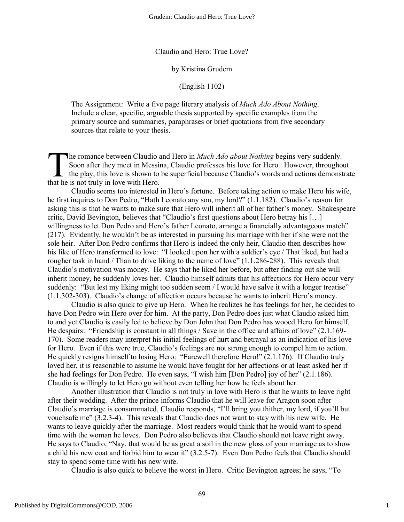Claudio and Hero: True Love?

#### by Kristina Grudem

(English 1102)

The Assignment: Write a five page literary analysis of *Much Ado About Nothing*. Include a clear, specific, arguable thesis supported by specific examples from the primary source and summaries, paraphrases or brief quotations from five secondary sources that relate to your thesis.

he romance between Claudio and Hero in *Much Ado about Nothing* begins very suddenly. Soon after they meet in Messina, Claudio professes his love for Hero. However, throughout the play, this love is shown to be superficial because Claudio's words and actions demonstrate The romance between Claudio Soon after they meet in Messi<br>the play, this love is shown to<br>that he is not truly in love with Hero.

Claudio seems too interested in Hero's fortune. Before taking action to make Hero his wife, he first inquires to Don Pedro, "Hath Leonato any son, my lord?" (1.1.182). Claudio's reason for asking this is that he wants to make sure that Hero will inherit all of her father's money. Shakespeare critic, David Bevington, believes that "Claudio's first questions about Hero betray his […] willingness to let Don Pedro and Hero's father Leonato, arrange a financially advantageous match" (217). Evidently, he wouldn't be as interested in pursuing his marriage with her if she were not the sole heir. After Don Pedro confirms that Hero is indeed the only heir, Claudio then describes how his like of Hero transformed to love: "I looked upon her with a soldier's eye / That liked, but had a rougher task in hand / Than to drive liking to the name of love" (1.1.286-288). This reveals that Claudio's motivation was money. He says that he liked her before, but after finding out she will inherit money, he suddenly loves her. Claudio himself admits that his affections for Hero occur very suddenly: "But lest my liking might too sudden seem / I would have salve it with a longer treatise" (1.1.302-303). Claudio's change of affection occurs because he wants to inherit Hero's money.

Claudio is also quick to give up Hero. When he realizes he has feelings for her, he decides to have Don Pedro win Hero over for him. At the party, Don Pedro does just what Claudio asked him to and yet Claudio is easily led to believe by Don John that Don Pedro has wooed Hero for himself. He despairs: "Friendship is constant in all things / Save in the office and affairs of love" (2.1.169- 170). Some readers may interpret his initial feelings of hurt and betrayal as an indication of his love for Hero. Even if this were true, Claudio's feelings are not strong enough to compel him to action. He quickly resigns himself to losing Hero: "Farewell therefore Hero!" (2.1.176). If Claudio truly loved her, it is reasonable to assume he would have fought for her affections or at least asked her if she had feelings for Don Pedro. He even says, "I wish him [Don Pedro] joy of her" (2.1.186). Claudio is willingly to let Hero go without even telling her how he feels about her.

Another illustration that Claudio is not truly in love with Hero is that he wants to leave right after their wedding. After the prince informs Claudio that he will leave for Aragon soon after Claudio's marriage is consummated, Claudio responds, "I'll bring you thither, my lord, if you'll but vouchsafe me" (3.2.3-4). This reveals that Claudio does not want to stay with his new wife. He wants to leave quickly after the marriage. Most readers would think that he would want to spend time with the woman he loves. Don Pedro also believes that Claudio should not leave right away. He says to Claudio, "Nay, that would be as great a soil in the new gloss of your marriage as to show a child his new coat and forbid him to wear it" (3.2.5-7). Even Don Pedro feels that Claudio should stay to spend some time with his new wife.

Claudio is also quick to believe the worst in Hero. Critic Bevington agrees; he says, "To

1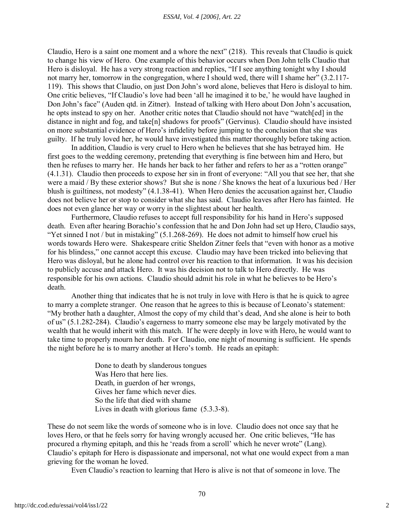Claudio, Hero is a saint one moment and a whore the next" (218). This reveals that Claudio is quick to change his view of Hero. One example of this behavior occurs when Don John tells Claudio that Hero is disloyal. He has a very strong reaction and replies, "If I see anything tonight why I should not marry her, tomorrow in the congregation, where I should wed, there will I shame her" (3.2.117- 119). This shows that Claudio, on just Don John's word alone, believes that Hero is disloyal to him. One critic believes, "If Claudio's love had been 'all he imagined it to be,' he would have laughed in Don John's face" (Auden qtd. in Zitner). Instead of talking with Hero about Don John's accusation, he opts instead to spy on her. Another critic notes that Claudio should not have "watch[ed] in the distance in night and fog, and take[n] shadows for proofs" (Gervinus). Claudio should have insisted on more substantial evidence of Hero's infidelity before jumping to the conclusion that she was guilty. If he truly loved her, he would have investigated this matter thoroughly before taking action.

In addition, Claudio is very cruel to Hero when he believes that she has betrayed him. He first goes to the wedding ceremony, pretending that everything is fine between him and Hero, but then he refuses to marry her. He hands her back to her father and refers to her as a "rotten orange" (4.1.31). Claudio then proceeds to expose her sin in front of everyone: "All you that see her, that she were a maid / By these exterior shows? But she is none / She knows the heat of a luxurious bed / Her blush is guiltiness, not modesty" (4.1.38-41). When Hero denies the accusation against her, Claudio does not believe her or stop to consider what she has said. Claudio leaves after Hero has fainted. He does not even glance her way or worry in the slightest about her health.

Furthermore, Claudio refuses to accept full responsibility for his hand in Hero's supposed death. Even after hearing Borachio's confession that he and Don John had set up Hero, Claudio says, "Yet sinned I not / but in mistaking" (5.1.268-269). He does not admit to himself how cruel his words towards Hero were. Shakespeare critic Sheldon Zitner feels that "even with honor as a motive for his blindess," one cannot accept this excuse. Claudio may have been tricked into believing that Hero was disloyal, but he alone had control over his reaction to that information. It was his decision to publicly accuse and attack Hero. It was his decision not to talk to Hero directly. He was responsible for his own actions. Claudio should admit his role in what he believes to be Hero's death.

Another thing that indicates that he is not truly in love with Hero is that he is quick to agree to marry a complete stranger. One reason that he agrees to this is because of Leonato's statement: "My brother hath a daughter, Almost the copy of my child that's dead, And she alone is heir to both of us" (5.1.282-284). Claudio's eagerness to marry someone else may be largely motivated by the wealth that he would inherit with this match. If he were deeply in love with Hero, he would want to take time to properly mourn her death. For Claudio, one night of mourning is sufficient. He spends the night before he is to marry another at Hero's tomb. He reads an epitaph:

> Done to death by slanderous tongues Was Hero that here lies. Death, in guerdon of her wrongs, Gives her fame which never dies. So the life that died with shame Lives in death with glorious fame (5.3.3-8).

These do not seem like the words of someone who is in love. Claudio does not once say that he loves Hero, or that he feels sorry for having wrongly accused her. One critic believes, "He has procured a rhyming epitaph, and this he 'reads from a scroll' which he never wrote" (Lang). Claudio's epitaph for Hero is dispassionate and impersonal, not what one would expect from a man grieving for the woman he loved.

Even Claudio's reaction to learning that Hero is alive is not that of someone in love. The